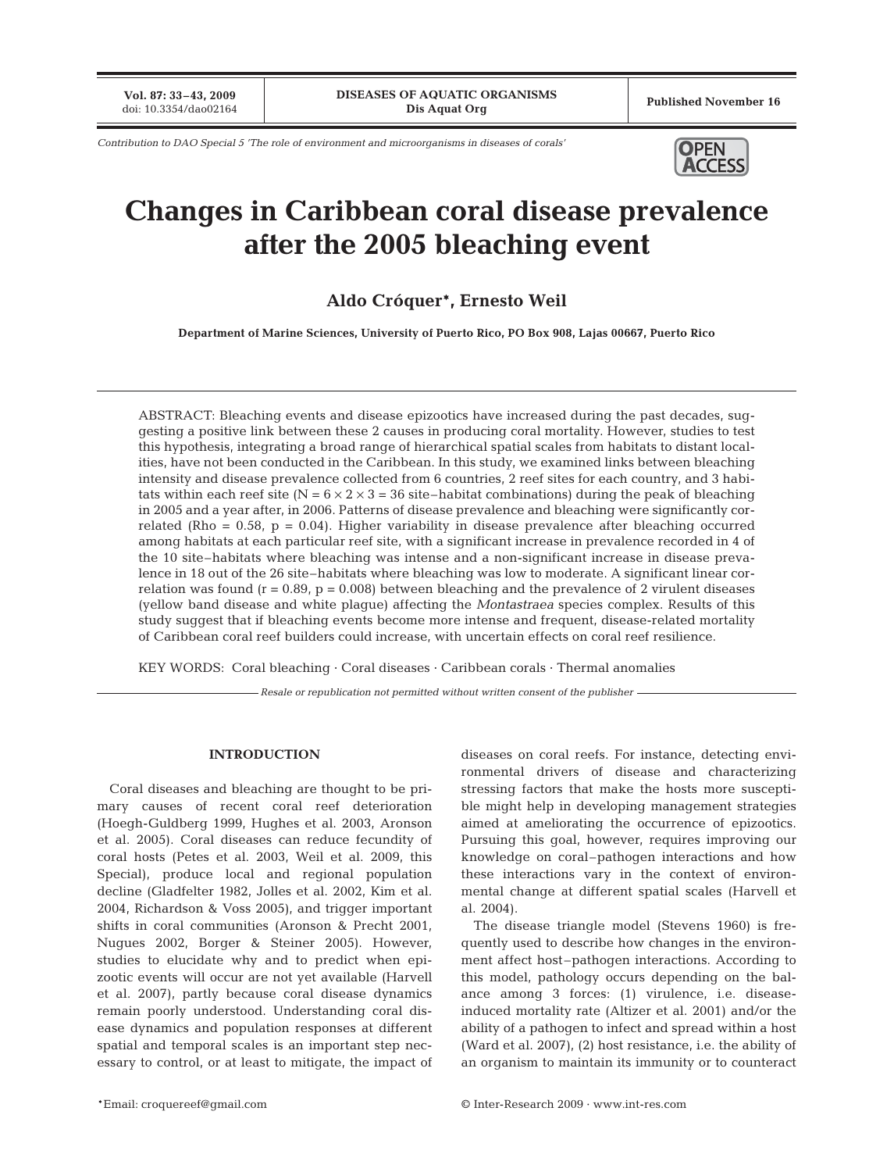**Vol. 87: 33-43, 2009**<br>doi: 10.3354/dao02164

Published November 16

*Contribution to DAO Special 5 'The role of environment and microorganisms in diseases of corals'* **OPEN** 



# **Changes in Caribbean coral disease prevalence after the 2005 bleaching event**

# **Aldo Cróquer\*, Ernesto Weil**

**Department of Marine Sciences, University of Puerto Rico, PO Box 908, Lajas 00667, Puerto Rico**

ABSTRACT: Bleaching events and disease epizootics have increased during the past decades, suggesting a positive link between these 2 causes in producing coral mortality. However, studies to test this hypothesis, integrating a broad range of hierarchical spatial scales from habitats to distant localities, have not been conducted in the Caribbean. In this study, we examined links between bleaching intensity and disease prevalence collected from 6 countries, 2 reef sites for each country, and 3 habitats within each reef site ( $N = 6 \times 2 \times 3 = 36$  site–habitat combinations) during the peak of bleaching in 2005 and a year after, in 2006. Patterns of disease prevalence and bleaching were significantly correlated (Rho =  $0.58$ , p =  $0.04$ ). Higher variability in disease prevalence after bleaching occurred among habitats at each particular reef site, with a significant increase in prevalence recorded in 4 of the 10 site–habitats where bleaching was intense and a non-significant increase in disease prevalence in 18 out of the 26 site–habitats where bleaching was low to moderate. A significant linear correlation was found ( $r = 0.89$ ,  $p = 0.008$ ) between bleaching and the prevalence of 2 virulent diseases (yellow band disease and white plague) affecting the *Montastraea* species complex. Results of this study suggest that if bleaching events become more intense and frequent, disease-related mortality of Caribbean coral reef builders could increase, with uncertain effects on coral reef resilience.

KEY WORDS: Coral bleaching · Coral diseases · Caribbean corals · Thermal anomalies

*Resale or republication not permitted without written consent of the publisher*

### **INTRODUCTION**

Coral diseases and bleaching are thought to be primary causes of recent coral reef deterioration (Hoegh-Guldberg 1999, Hughes et al. 2003, Aronson et al. 2005). Coral diseases can reduce fecundity of coral hosts (Petes et al. 2003, Weil et al. 2009, this Special), produce local and regional population decline (Gladfelter 1982, Jolles et al. 2002, Kim et al. 2004, Richardson & Voss 2005), and trigger important shifts in coral communities (Aronson & Precht 2001, Nugues 2002, Borger & Steiner 2005). However, studies to elucidate why and to predict when epizootic events will occur are not yet available (Harvell et al. 2007), partly because coral disease dynamics remain poorly understood. Understanding coral disease dynamics and population responses at different spatial and temporal scales is an important step necessary to control, or at least to mitigate, the impact of diseases on coral reefs. For instance, detecting environmental drivers of disease and characterizing stressing factors that make the hosts more susceptible might help in developing management strategies aimed at ameliorating the occurrence of epizootics. Pursuing this goal, however, requires improving our knowledge on coral–pathogen interactions and how these interactions vary in the context of environmental change at different spatial scales (Harvell et al. 2004).

The disease triangle model (Stevens 1960) is frequently used to describe how changes in the environment affect host–pathogen interactions. According to this model, pathology occurs depending on the balance among 3 forces: (1) virulence, i.e. diseaseinduced mortality rate (Altizer et al. 2001) and/or the ability of a pathogen to infect and spread within a host (Ward et al. 2007), (2) host resistance, i.e. the ability of an organism to maintain its immunity or to counteract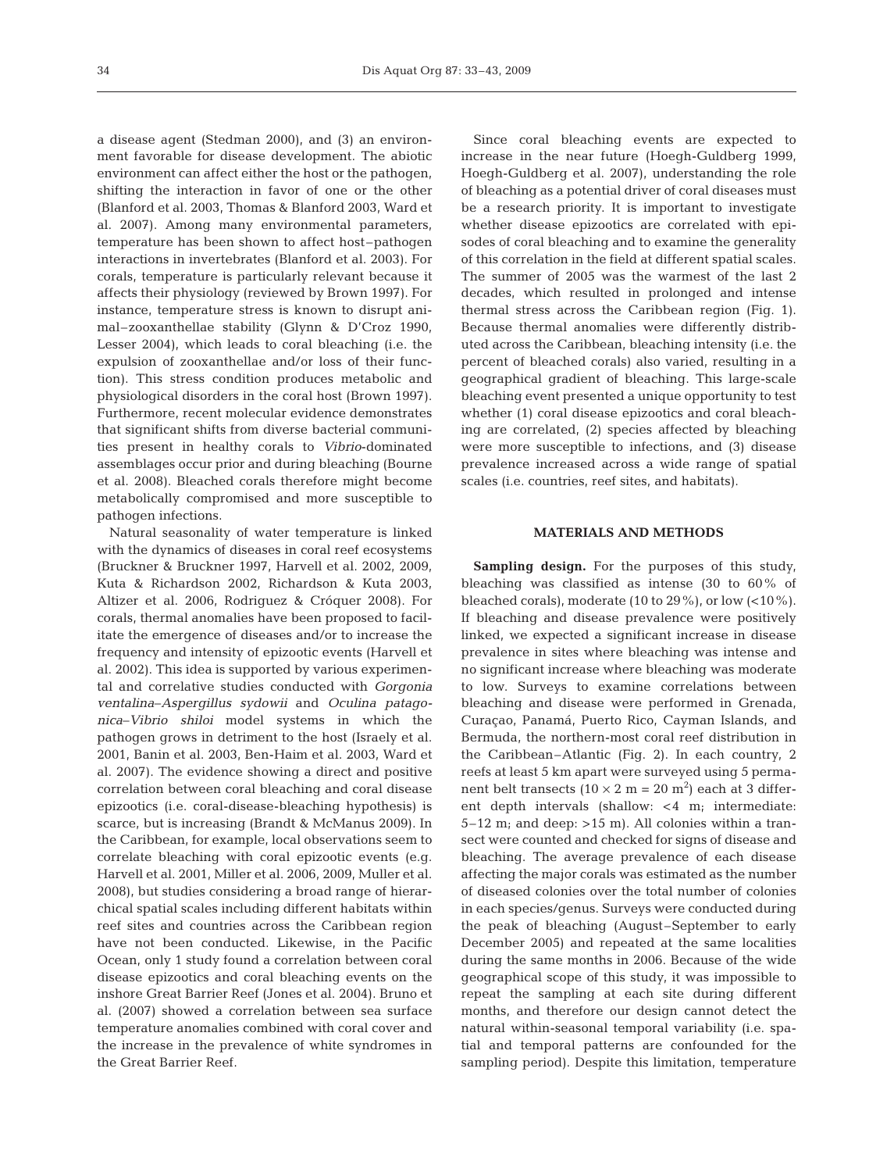a disease agent (Stedman 2000), and (3) an environment favorable for disease development. The abiotic environment can affect either the host or the pathogen, shifting the interaction in favor of one or the other (Blanford et al. 2003, Thomas & Blanford 2003, Ward et al. 2007). Among many environmental parameters, temperature has been shown to affect host–pathogen interactions in invertebrates (Blanford et al. 2003). For corals, temperature is particularly relevant because it affects their physiology (reviewed by Brown 1997). For instance, temperature stress is known to disrupt animal–zooxanthellae stability (Glynn & D'Croz 1990, Lesser 2004), which leads to coral bleaching (i.e. the expulsion of zooxanthellae and/or loss of their function). This stress condition produces metabolic and physiological disorders in the coral host (Brown 1997). Furthermore, recent molecular evidence demonstrates that significant shifts from diverse bacterial communities present in healthy corals to *Vibrio*-dominated assemblages occur prior and during bleaching (Bourne et al. 2008). Bleached corals therefore might become metabolically compromised and more susceptible to pathogen infections.

Natural seasonality of water temperature is linked with the dynamics of diseases in coral reef ecosystems (Bruckner & Bruckner 1997, Harvell et al. 2002, 2009, Kuta & Richardson 2002, Richardson & Kuta 2003, Altizer et al. 2006, Rodriguez & Cróquer 2008). For corals, thermal anomalies have been proposed to facilitate the emergence of diseases and/or to increase the frequency and intensity of epizootic events (Harvell et al. 2002). This idea is supported by various experimental and correlative studies conducted with *Gorgonia ventalina*–*Aspergillus sydowii* and *Oculina patagonica*–*Vibrio shiloi* model systems in which the pathogen grows in detriment to the host (Israely et al. 2001, Banin et al. 2003, Ben-Haim et al. 2003, Ward et al. 2007). The evidence showing a direct and positive correlation between coral bleaching and coral disease epizootics (i.e. coral-disease-bleaching hypothesis) is scarce, but is increasing (Brandt & McManus 2009). In the Caribbean, for example, local observations seem to correlate bleaching with coral epizootic events (e.g. Harvell et al. 2001, Miller et al. 2006, 2009, Muller et al. 2008), but studies considering a broad range of hierarchical spatial scales including different habitats within reef sites and countries across the Caribbean region have not been conducted. Likewise, in the Pacific Ocean, only 1 study found a correlation between coral disease epizootics and coral bleaching events on the inshore Great Barrier Reef (Jones et al. 2004). Bruno et al. (2007) showed a correlation between sea surface temperature anomalies combined with coral cover and the increase in the prevalence of white syndromes in the Great Barrier Reef.

Since coral bleaching events are expected to increase in the near future (Hoegh-Guldberg 1999, Hoegh-Guldberg et al. 2007), understanding the role of bleaching as a potential driver of coral diseases must be a research priority. It is important to investigate whether disease epizootics are correlated with episodes of coral bleaching and to examine the generality of this correlation in the field at different spatial scales. The summer of 2005 was the warmest of the last 2 decades, which resulted in prolonged and intense thermal stress across the Caribbean region (Fig. 1). Because thermal anomalies were differently distributed across the Caribbean, bleaching intensity (i.e. the percent of bleached corals) also varied, resulting in a geographical gradient of bleaching. This large-scale bleaching event presented a unique opportunity to test whether (1) coral disease epizootics and coral bleaching are correlated, (2) species affected by bleaching were more susceptible to infections, and (3) disease prevalence increased across a wide range of spatial scales (i.e. countries, reef sites, and habitats).

# **MATERIALS AND METHODS**

**Sampling design.** For the purposes of this study, bleaching was classified as intense (30 to 60% of bleached corals), moderate (10 to  $29\%$ ), or low  $(<10\%$ ). If bleaching and disease prevalence were positively linked, we expected a significant increase in disease prevalence in sites where bleaching was intense and no significant increase where bleaching was moderate to low. Surveys to examine correlations between bleaching and disease were performed in Grenada, Curaçao, Panamá, Puerto Rico, Cayman Islands, and Bermuda, the northern-most coral reef distribution in the Caribbean–Atlantic (Fig. 2). In each country, 2 reefs at least 5 km apart were surveyed using 5 permanent belt transects  $(10 \times 2 \text{ m} = 20 \text{ m}^2)$  each at 3 different depth intervals (shallow: <4 m; intermediate:  $5-12$  m; and deep:  $>15$  m). All colonies within a transect were counted and checked for signs of disease and bleaching. The average prevalence of each disease affecting the major corals was estimated as the number of diseased colonies over the total number of colonies in each species/genus. Surveys were conducted during the peak of bleaching (August–September to early December 2005) and repeated at the same localities during the same months in 2006. Because of the wide geographical scope of this study, it was impossible to repeat the sampling at each site during different months, and therefore our design cannot detect the natural within-seasonal temporal variability (i.e. spatial and temporal patterns are confounded for the sampling period). Despite this limitation, temperature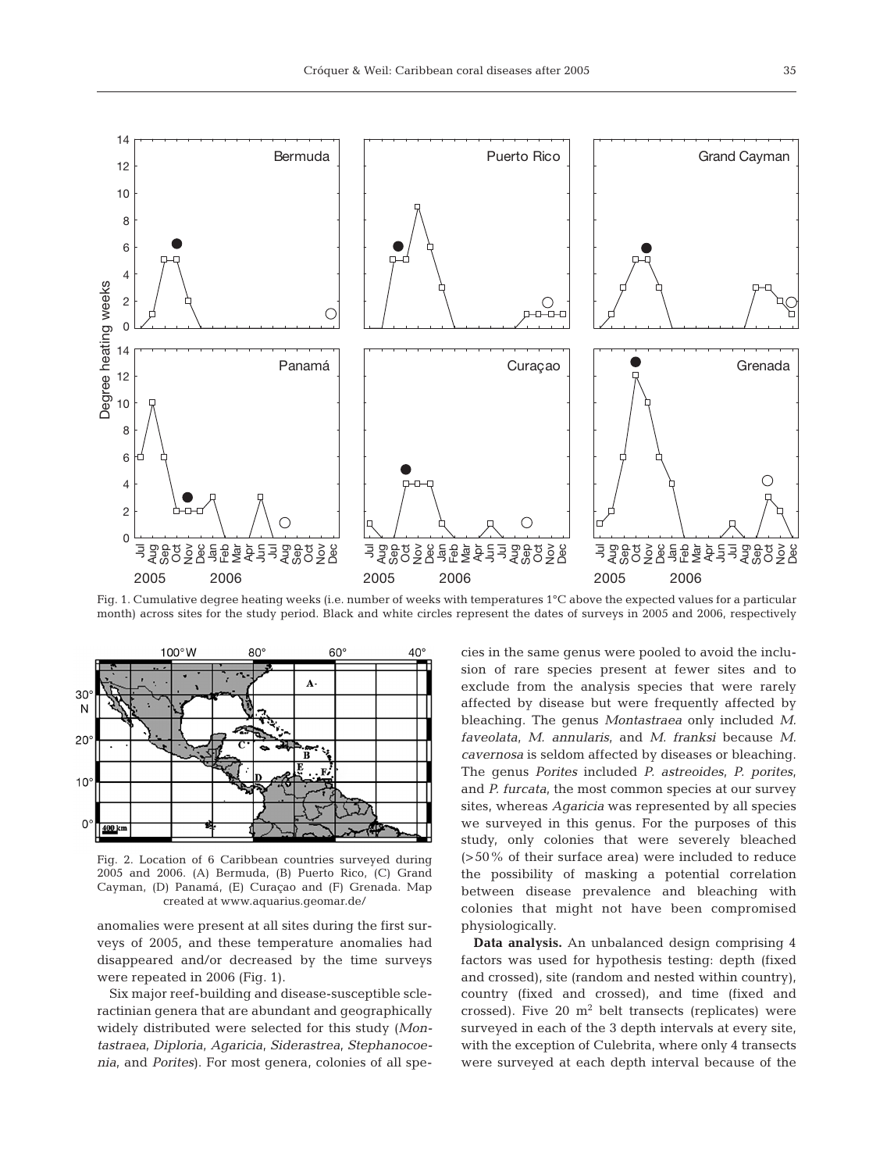

Fig. 1. Cumulative degree heating weeks (i.e. number of weeks with temperatures 1°C above the expected values for a particular month) across sites for the study period. Black and white circles represent the dates of surveys in 2005 and 2006, respectively



Fig. 2. Location of 6 Caribbean countries surveyed during 2005 and 2006. (A) Bermuda, (B) Puerto Rico, (C) Grand Cayman, (D) Panamá, (E) Curaçao and (F) Grenada. Map created at www.aquarius.geomar.de/

anomalies were present at all sites during the first surveys of 2005, and these temperature anomalies had disappeared and/or decreased by the time surveys were repeated in 2006 (Fig. 1).

Six major reef-building and disease-susceptible scleractinian genera that are abundant and geographically widely distributed were selected for this study (*Montastraea*, *Diploria*, *Agaricia*, *Siderastrea*, *Stephanocoenia*, and *Porites*). For most genera, colonies of all species in the same genus were pooled to avoid the inclusion of rare species present at fewer sites and to exclude from the analysis species that were rarely affected by disease but were frequently affected by bleaching. The genus *Montastraea* only included *M. faveolata*, *M. annularis*, and *M. franksi* because *M. cavernosa* is seldom affected by diseases or bleaching. The genus *Porites* included *P. astreoides*, *P. porites*, and *P. furcata*, the most common species at our survey sites, whereas *Agaricia* was represented by all species we surveyed in this genus. For the purposes of this study, only colonies that were severely bleached (>50% of their surface area) were included to reduce the possibility of masking a potential correlation between disease prevalence and bleaching with colonies that might not have been compromised physiologically.

**Data analysis.** An unbalanced design comprising 4 factors was used for hypothesis testing: depth (fixed and crossed), site (random and nested within country), country (fixed and crossed), and time (fixed and crossed). Five 20  $m^2$  belt transects (replicates) were surveyed in each of the 3 depth intervals at every site, with the exception of Culebrita, where only 4 transects were surveyed at each depth interval because of the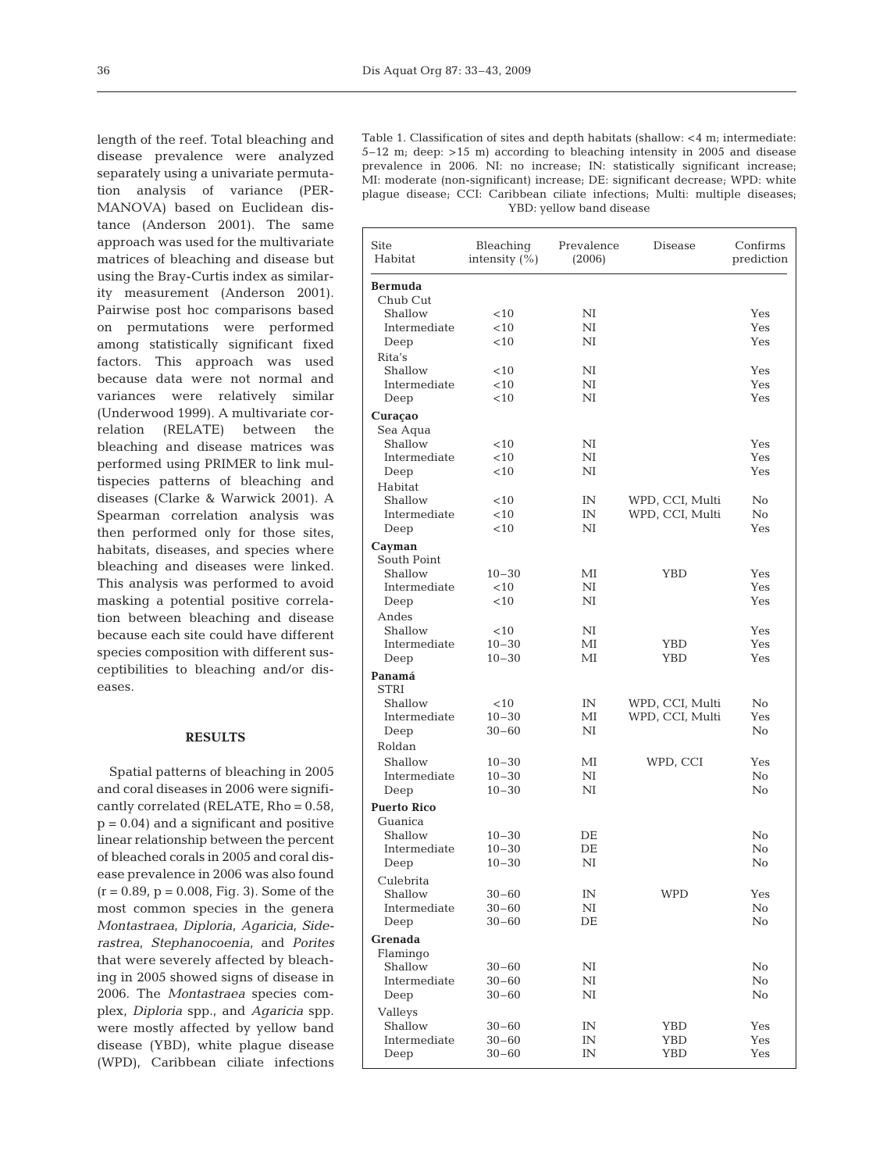length of the reef. Total bleaching and disease prevalence were analyzed separately using a univariate permutation analysis of variance (PER-MANOVA) based on Euclidean distance (Anderson 2001). The same approach was used for the multivariate matrices of bleaching and disease but using the Bray-Curtis index as similarity measurement (Anderson 2001). Pairwise post hoc comparisons based on permutations were performed among statistically significant fixed factors. This approach was used because data were not normal and variances were relatively similar (Underwood 1999). A multivariate correlation (RELATE) between the bleaching and disease matrices was performed using PRIMER to link multispecies patterns of bleaching and diseases (Clarke & Warwick 2001). A Spearman correlation analysis was then performed only for those sites, habitats, diseases, and species where bleaching and diseases were linked. This analysis was performed to avoid masking a potential positive correlation between bleaching and disease because each site could have different species composition with different susceptibilities to bleaching and/or diseases.

## **RESULTS**

Spatial patterns of bleaching in 2005 and coral diseases in 2006 were significantly correlated (RELATE, Rho = 0.58,  $p = 0.04$ ) and a significant and positive linear relationship between the percent of bleached corals in 2005 and coral disease prevalence in 2006 was also found  $(r = 0.89, p = 0.008, Fig. 3)$ . Some of the most common species in the genera *Montastraea*, *Diploria*, *Agaricia*, *Siderastrea*, *Stephanocoenia*, and *Porites* that were severely affected by bleaching in 2005 showed signs of disease in 2006. The *Montastraea* species complex, *Diploria* spp., and *Agaricia* spp. were mostly affected by yellow band disease (YBD), white plague disease (WPD), Caribbean ciliate infections

Table 1. Classification of sites and depth habitats (shallow: <4 m; intermediate: 5–12 m; deep: >15 m) according to bleaching intensity in 2005 and disease prevalence in 2006. NI: no increase; IN: statistically significant increase; MI: moderate (non-significant) increase; DE: significant decrease; WPD: white plague disease; CCI: Caribbean ciliate infections; Multi: multiple diseases; YBD: yellow band disease

| <b>Bermuda</b><br>Chub Cut<br>Shallow<br><10<br>NI<br>Yes<br>${}_{<10}$<br>Yes<br>Intermediate<br>NI<br>< 10<br>NI<br>Yes<br>Deep<br>Rita's<br>Shallow<br>$<$ 10<br>NI<br>Yes<br>Intermediate<br>$<$ 10<br>NI<br>Yes<br>< 10<br>NI<br>Yes<br>Deep<br>Curaçao<br>Sea Aqua<br>Shallow<br>$<$ 10<br>NI<br>Yes<br>Intermediate<br>$<$ 10<br>NI<br>Yes<br>$<$ 10<br>NI<br>Yes<br>Deep<br>Habitat<br>Shallow<br>$<$ 10<br>IN<br>WPD, CCI, Multi<br>No<br>${}_{<10}$<br>WPD, CCI, Multi<br>No<br>Intermediate<br>IN<br>$<$ 10<br>NI<br>Yes<br>Deep<br>Cayman<br>South Point<br>Shallow<br>$10 - 30$<br>ΜІ<br>YBD<br>Yes<br>NI<br>Yes<br>Intermediate<br>$<$ 10<br>$<$ 10<br>NI<br>Yes<br>Deep<br>Andes<br>Shallow<br>$<$ 10<br>NI<br>Yes<br>$10 - 30$<br>Yes<br>Intermediate<br>ΜІ<br>YBD<br>$10 - 30$<br>ΜІ<br>Yes<br>YBD<br>Deep<br>Panamá<br><b>STRI</b><br>Shallow<br>$<$ 10<br>IN<br>WPD, CCI, Multi<br>No<br>WPD, CCI, Multi<br>Intermediate<br>$10 - 30$<br>Yes<br>МI<br>No<br>$30 - 60$<br>NI<br>Deep<br>Roldan<br>Shallow<br>$10 - 30$<br>ΜІ<br>WPD, CCI<br>Yes<br>Intermediate<br>$10 - 30$<br>No<br>NI<br>No<br>$10 - 30$<br>NI<br>Deep<br><b>Puerto Rico</b><br>Guanica<br>$10 - 30$<br>No<br>Shallow<br>DE<br>Intermediate<br>$10 - 30$<br>DE<br>No<br>$10 - 30$<br>NI<br>No<br>Deep<br>Culebrita<br>Shallow<br>$30 - 60$<br>IN<br>WPD<br>Yes<br>Intermediate<br>$30 - 60$<br>NI<br>No<br>No<br>$30 - 60$<br>DE<br>Deep<br>Grenada<br>Flamingo<br>Shallow<br>$30 - 60$<br>NI<br>No<br>No<br>Intermediate<br>$30 - 60$<br>NI<br>NI<br>No<br>Deep<br>$30 - 60$<br>Valleys<br>Shallow<br>$30 - 60$<br>YBD<br>Yes<br>IN<br>Intermediate<br>$30 - 60$<br>YBD<br>Yes<br>IN<br>$30 - 60$<br>IN<br>YBD<br>Yes<br>Deep | Site<br>Habitat | Bleaching<br>intensity $(\% )$ | Prevalence<br>(2006) | Disease | Confirms<br>prediction |
|---------------------------------------------------------------------------------------------------------------------------------------------------------------------------------------------------------------------------------------------------------------------------------------------------------------------------------------------------------------------------------------------------------------------------------------------------------------------------------------------------------------------------------------------------------------------------------------------------------------------------------------------------------------------------------------------------------------------------------------------------------------------------------------------------------------------------------------------------------------------------------------------------------------------------------------------------------------------------------------------------------------------------------------------------------------------------------------------------------------------------------------------------------------------------------------------------------------------------------------------------------------------------------------------------------------------------------------------------------------------------------------------------------------------------------------------------------------------------------------------------------------------------------------------------------------------------------------------------------------------------------------------------------------------------------------------------------------------|-----------------|--------------------------------|----------------------|---------|------------------------|
|                                                                                                                                                                                                                                                                                                                                                                                                                                                                                                                                                                                                                                                                                                                                                                                                                                                                                                                                                                                                                                                                                                                                                                                                                                                                                                                                                                                                                                                                                                                                                                                                                                                                                                                     |                 |                                |                      |         |                        |
|                                                                                                                                                                                                                                                                                                                                                                                                                                                                                                                                                                                                                                                                                                                                                                                                                                                                                                                                                                                                                                                                                                                                                                                                                                                                                                                                                                                                                                                                                                                                                                                                                                                                                                                     |                 |                                |                      |         |                        |
|                                                                                                                                                                                                                                                                                                                                                                                                                                                                                                                                                                                                                                                                                                                                                                                                                                                                                                                                                                                                                                                                                                                                                                                                                                                                                                                                                                                                                                                                                                                                                                                                                                                                                                                     |                 |                                |                      |         |                        |
|                                                                                                                                                                                                                                                                                                                                                                                                                                                                                                                                                                                                                                                                                                                                                                                                                                                                                                                                                                                                                                                                                                                                                                                                                                                                                                                                                                                                                                                                                                                                                                                                                                                                                                                     |                 |                                |                      |         |                        |
|                                                                                                                                                                                                                                                                                                                                                                                                                                                                                                                                                                                                                                                                                                                                                                                                                                                                                                                                                                                                                                                                                                                                                                                                                                                                                                                                                                                                                                                                                                                                                                                                                                                                                                                     |                 |                                |                      |         |                        |
|                                                                                                                                                                                                                                                                                                                                                                                                                                                                                                                                                                                                                                                                                                                                                                                                                                                                                                                                                                                                                                                                                                                                                                                                                                                                                                                                                                                                                                                                                                                                                                                                                                                                                                                     |                 |                                |                      |         |                        |
|                                                                                                                                                                                                                                                                                                                                                                                                                                                                                                                                                                                                                                                                                                                                                                                                                                                                                                                                                                                                                                                                                                                                                                                                                                                                                                                                                                                                                                                                                                                                                                                                                                                                                                                     |                 |                                |                      |         |                        |
|                                                                                                                                                                                                                                                                                                                                                                                                                                                                                                                                                                                                                                                                                                                                                                                                                                                                                                                                                                                                                                                                                                                                                                                                                                                                                                                                                                                                                                                                                                                                                                                                                                                                                                                     |                 |                                |                      |         |                        |
|                                                                                                                                                                                                                                                                                                                                                                                                                                                                                                                                                                                                                                                                                                                                                                                                                                                                                                                                                                                                                                                                                                                                                                                                                                                                                                                                                                                                                                                                                                                                                                                                                                                                                                                     |                 |                                |                      |         |                        |
|                                                                                                                                                                                                                                                                                                                                                                                                                                                                                                                                                                                                                                                                                                                                                                                                                                                                                                                                                                                                                                                                                                                                                                                                                                                                                                                                                                                                                                                                                                                                                                                                                                                                                                                     |                 |                                |                      |         |                        |
|                                                                                                                                                                                                                                                                                                                                                                                                                                                                                                                                                                                                                                                                                                                                                                                                                                                                                                                                                                                                                                                                                                                                                                                                                                                                                                                                                                                                                                                                                                                                                                                                                                                                                                                     |                 |                                |                      |         |                        |
|                                                                                                                                                                                                                                                                                                                                                                                                                                                                                                                                                                                                                                                                                                                                                                                                                                                                                                                                                                                                                                                                                                                                                                                                                                                                                                                                                                                                                                                                                                                                                                                                                                                                                                                     |                 |                                |                      |         |                        |
|                                                                                                                                                                                                                                                                                                                                                                                                                                                                                                                                                                                                                                                                                                                                                                                                                                                                                                                                                                                                                                                                                                                                                                                                                                                                                                                                                                                                                                                                                                                                                                                                                                                                                                                     |                 |                                |                      |         |                        |
|                                                                                                                                                                                                                                                                                                                                                                                                                                                                                                                                                                                                                                                                                                                                                                                                                                                                                                                                                                                                                                                                                                                                                                                                                                                                                                                                                                                                                                                                                                                                                                                                                                                                                                                     |                 |                                |                      |         |                        |
|                                                                                                                                                                                                                                                                                                                                                                                                                                                                                                                                                                                                                                                                                                                                                                                                                                                                                                                                                                                                                                                                                                                                                                                                                                                                                                                                                                                                                                                                                                                                                                                                                                                                                                                     |                 |                                |                      |         |                        |
|                                                                                                                                                                                                                                                                                                                                                                                                                                                                                                                                                                                                                                                                                                                                                                                                                                                                                                                                                                                                                                                                                                                                                                                                                                                                                                                                                                                                                                                                                                                                                                                                                                                                                                                     |                 |                                |                      |         |                        |
|                                                                                                                                                                                                                                                                                                                                                                                                                                                                                                                                                                                                                                                                                                                                                                                                                                                                                                                                                                                                                                                                                                                                                                                                                                                                                                                                                                                                                                                                                                                                                                                                                                                                                                                     |                 |                                |                      |         |                        |
|                                                                                                                                                                                                                                                                                                                                                                                                                                                                                                                                                                                                                                                                                                                                                                                                                                                                                                                                                                                                                                                                                                                                                                                                                                                                                                                                                                                                                                                                                                                                                                                                                                                                                                                     |                 |                                |                      |         |                        |
|                                                                                                                                                                                                                                                                                                                                                                                                                                                                                                                                                                                                                                                                                                                                                                                                                                                                                                                                                                                                                                                                                                                                                                                                                                                                                                                                                                                                                                                                                                                                                                                                                                                                                                                     |                 |                                |                      |         |                        |
|                                                                                                                                                                                                                                                                                                                                                                                                                                                                                                                                                                                                                                                                                                                                                                                                                                                                                                                                                                                                                                                                                                                                                                                                                                                                                                                                                                                                                                                                                                                                                                                                                                                                                                                     |                 |                                |                      |         |                        |
|                                                                                                                                                                                                                                                                                                                                                                                                                                                                                                                                                                                                                                                                                                                                                                                                                                                                                                                                                                                                                                                                                                                                                                                                                                                                                                                                                                                                                                                                                                                                                                                                                                                                                                                     |                 |                                |                      |         |                        |
|                                                                                                                                                                                                                                                                                                                                                                                                                                                                                                                                                                                                                                                                                                                                                                                                                                                                                                                                                                                                                                                                                                                                                                                                                                                                                                                                                                                                                                                                                                                                                                                                                                                                                                                     |                 |                                |                      |         |                        |
|                                                                                                                                                                                                                                                                                                                                                                                                                                                                                                                                                                                                                                                                                                                                                                                                                                                                                                                                                                                                                                                                                                                                                                                                                                                                                                                                                                                                                                                                                                                                                                                                                                                                                                                     |                 |                                |                      |         |                        |
|                                                                                                                                                                                                                                                                                                                                                                                                                                                                                                                                                                                                                                                                                                                                                                                                                                                                                                                                                                                                                                                                                                                                                                                                                                                                                                                                                                                                                                                                                                                                                                                                                                                                                                                     |                 |                                |                      |         |                        |
|                                                                                                                                                                                                                                                                                                                                                                                                                                                                                                                                                                                                                                                                                                                                                                                                                                                                                                                                                                                                                                                                                                                                                                                                                                                                                                                                                                                                                                                                                                                                                                                                                                                                                                                     |                 |                                |                      |         |                        |
|                                                                                                                                                                                                                                                                                                                                                                                                                                                                                                                                                                                                                                                                                                                                                                                                                                                                                                                                                                                                                                                                                                                                                                                                                                                                                                                                                                                                                                                                                                                                                                                                                                                                                                                     |                 |                                |                      |         |                        |
|                                                                                                                                                                                                                                                                                                                                                                                                                                                                                                                                                                                                                                                                                                                                                                                                                                                                                                                                                                                                                                                                                                                                                                                                                                                                                                                                                                                                                                                                                                                                                                                                                                                                                                                     |                 |                                |                      |         |                        |
|                                                                                                                                                                                                                                                                                                                                                                                                                                                                                                                                                                                                                                                                                                                                                                                                                                                                                                                                                                                                                                                                                                                                                                                                                                                                                                                                                                                                                                                                                                                                                                                                                                                                                                                     |                 |                                |                      |         |                        |
|                                                                                                                                                                                                                                                                                                                                                                                                                                                                                                                                                                                                                                                                                                                                                                                                                                                                                                                                                                                                                                                                                                                                                                                                                                                                                                                                                                                                                                                                                                                                                                                                                                                                                                                     |                 |                                |                      |         |                        |
|                                                                                                                                                                                                                                                                                                                                                                                                                                                                                                                                                                                                                                                                                                                                                                                                                                                                                                                                                                                                                                                                                                                                                                                                                                                                                                                                                                                                                                                                                                                                                                                                                                                                                                                     |                 |                                |                      |         |                        |
|                                                                                                                                                                                                                                                                                                                                                                                                                                                                                                                                                                                                                                                                                                                                                                                                                                                                                                                                                                                                                                                                                                                                                                                                                                                                                                                                                                                                                                                                                                                                                                                                                                                                                                                     |                 |                                |                      |         |                        |
|                                                                                                                                                                                                                                                                                                                                                                                                                                                                                                                                                                                                                                                                                                                                                                                                                                                                                                                                                                                                                                                                                                                                                                                                                                                                                                                                                                                                                                                                                                                                                                                                                                                                                                                     |                 |                                |                      |         |                        |
|                                                                                                                                                                                                                                                                                                                                                                                                                                                                                                                                                                                                                                                                                                                                                                                                                                                                                                                                                                                                                                                                                                                                                                                                                                                                                                                                                                                                                                                                                                                                                                                                                                                                                                                     |                 |                                |                      |         |                        |
|                                                                                                                                                                                                                                                                                                                                                                                                                                                                                                                                                                                                                                                                                                                                                                                                                                                                                                                                                                                                                                                                                                                                                                                                                                                                                                                                                                                                                                                                                                                                                                                                                                                                                                                     |                 |                                |                      |         |                        |
|                                                                                                                                                                                                                                                                                                                                                                                                                                                                                                                                                                                                                                                                                                                                                                                                                                                                                                                                                                                                                                                                                                                                                                                                                                                                                                                                                                                                                                                                                                                                                                                                                                                                                                                     |                 |                                |                      |         |                        |
|                                                                                                                                                                                                                                                                                                                                                                                                                                                                                                                                                                                                                                                                                                                                                                                                                                                                                                                                                                                                                                                                                                                                                                                                                                                                                                                                                                                                                                                                                                                                                                                                                                                                                                                     |                 |                                |                      |         |                        |
|                                                                                                                                                                                                                                                                                                                                                                                                                                                                                                                                                                                                                                                                                                                                                                                                                                                                                                                                                                                                                                                                                                                                                                                                                                                                                                                                                                                                                                                                                                                                                                                                                                                                                                                     |                 |                                |                      |         |                        |
|                                                                                                                                                                                                                                                                                                                                                                                                                                                                                                                                                                                                                                                                                                                                                                                                                                                                                                                                                                                                                                                                                                                                                                                                                                                                                                                                                                                                                                                                                                                                                                                                                                                                                                                     |                 |                                |                      |         |                        |
|                                                                                                                                                                                                                                                                                                                                                                                                                                                                                                                                                                                                                                                                                                                                                                                                                                                                                                                                                                                                                                                                                                                                                                                                                                                                                                                                                                                                                                                                                                                                                                                                                                                                                                                     |                 |                                |                      |         |                        |
|                                                                                                                                                                                                                                                                                                                                                                                                                                                                                                                                                                                                                                                                                                                                                                                                                                                                                                                                                                                                                                                                                                                                                                                                                                                                                                                                                                                                                                                                                                                                                                                                                                                                                                                     |                 |                                |                      |         |                        |
|                                                                                                                                                                                                                                                                                                                                                                                                                                                                                                                                                                                                                                                                                                                                                                                                                                                                                                                                                                                                                                                                                                                                                                                                                                                                                                                                                                                                                                                                                                                                                                                                                                                                                                                     |                 |                                |                      |         |                        |
|                                                                                                                                                                                                                                                                                                                                                                                                                                                                                                                                                                                                                                                                                                                                                                                                                                                                                                                                                                                                                                                                                                                                                                                                                                                                                                                                                                                                                                                                                                                                                                                                                                                                                                                     |                 |                                |                      |         |                        |
|                                                                                                                                                                                                                                                                                                                                                                                                                                                                                                                                                                                                                                                                                                                                                                                                                                                                                                                                                                                                                                                                                                                                                                                                                                                                                                                                                                                                                                                                                                                                                                                                                                                                                                                     |                 |                                |                      |         |                        |
|                                                                                                                                                                                                                                                                                                                                                                                                                                                                                                                                                                                                                                                                                                                                                                                                                                                                                                                                                                                                                                                                                                                                                                                                                                                                                                                                                                                                                                                                                                                                                                                                                                                                                                                     |                 |                                |                      |         |                        |
|                                                                                                                                                                                                                                                                                                                                                                                                                                                                                                                                                                                                                                                                                                                                                                                                                                                                                                                                                                                                                                                                                                                                                                                                                                                                                                                                                                                                                                                                                                                                                                                                                                                                                                                     |                 |                                |                      |         |                        |
|                                                                                                                                                                                                                                                                                                                                                                                                                                                                                                                                                                                                                                                                                                                                                                                                                                                                                                                                                                                                                                                                                                                                                                                                                                                                                                                                                                                                                                                                                                                                                                                                                                                                                                                     |                 |                                |                      |         |                        |
|                                                                                                                                                                                                                                                                                                                                                                                                                                                                                                                                                                                                                                                                                                                                                                                                                                                                                                                                                                                                                                                                                                                                                                                                                                                                                                                                                                                                                                                                                                                                                                                                                                                                                                                     |                 |                                |                      |         |                        |
|                                                                                                                                                                                                                                                                                                                                                                                                                                                                                                                                                                                                                                                                                                                                                                                                                                                                                                                                                                                                                                                                                                                                                                                                                                                                                                                                                                                                                                                                                                                                                                                                                                                                                                                     |                 |                                |                      |         |                        |
|                                                                                                                                                                                                                                                                                                                                                                                                                                                                                                                                                                                                                                                                                                                                                                                                                                                                                                                                                                                                                                                                                                                                                                                                                                                                                                                                                                                                                                                                                                                                                                                                                                                                                                                     |                 |                                |                      |         |                        |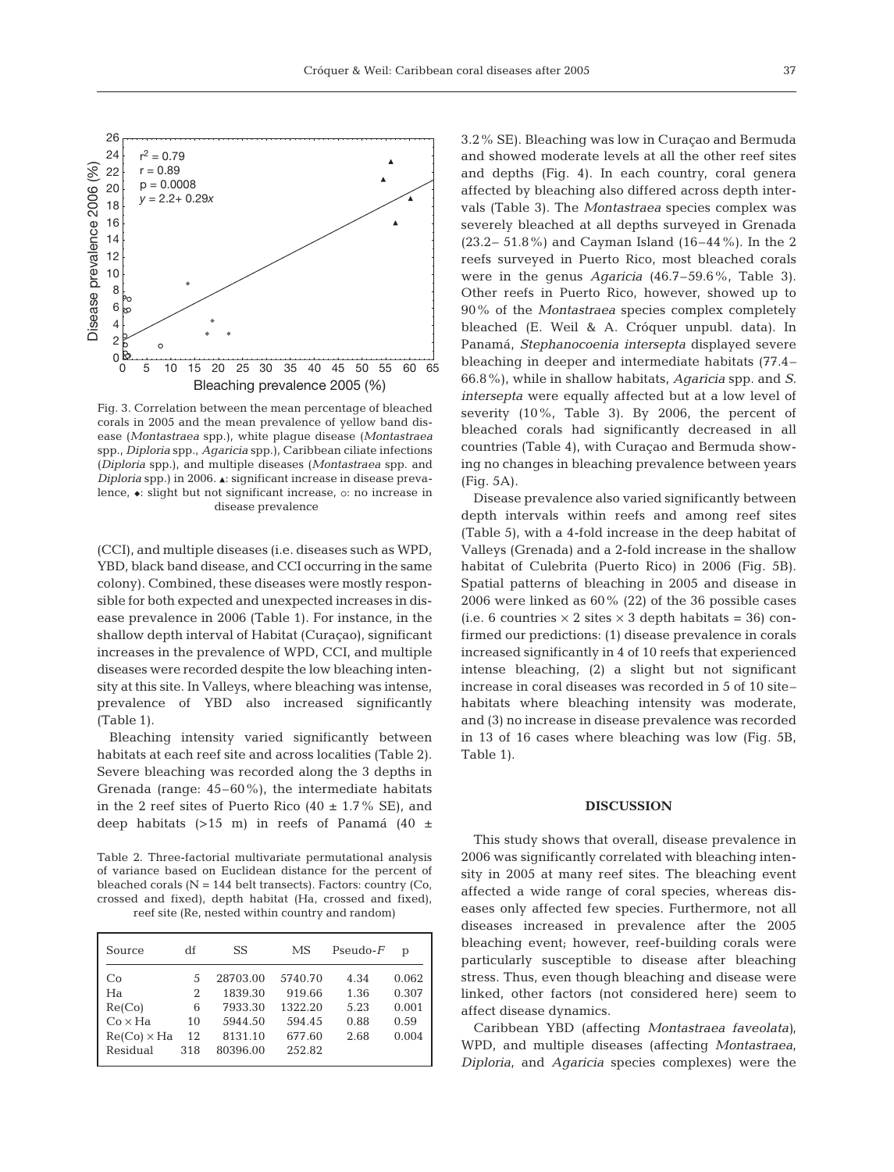

Fig. 3. Correlation between the mean percentage of bleached corals in 2005 and the mean prevalence of yellow band disease (*Montastraea* spp.), white plague disease (*Montastraea* spp., *Diploria* spp., *Agaricia* spp.), Caribbean ciliate infections (*Diploria* spp.), and multiple diseases (*Montastraea* spp. and *Diploria* spp.) in 2006. A: significant increase in disease prevalence,  $\bullet$ : slight but not significant increase, o: no increase in disease prevalence

(CCI), and multiple diseases (i.e. diseases such as WPD, YBD, black band disease, and CCI occurring in the same colony). Combined, these diseases were mostly responsible for both expected and unexpected increases in disease prevalence in 2006 (Table 1). For instance, in the shallow depth interval of Habitat (Curaçao), significant increases in the prevalence of WPD, CCI, and multiple diseases were recorded despite the low bleaching intensity at this site. In Valleys, where bleaching was intense, prevalence of YBD also increased significantly (Table 1).

Bleaching intensity varied significantly between habitats at each reef site and across localities (Table 2). Severe bleaching was recorded along the 3 depths in Grenada (range: 45–60%), the intermediate habitats in the 2 reef sites of Puerto Rico  $(40 \pm 1.7\% \text{ SE})$ , and deep habitats  $(>15 \text{ m})$  in reefs of Panamá  $(40 \pm$ 

Table 2. Three-factorial multivariate permutational analysis of variance based on Euclidean distance for the percent of bleached corals  $(N = 144$  belt transects). Factors: country  $(Co,$ crossed and fixed), depth habitat (Ha, crossed and fixed), reef site (Re, nested within country and random)

| Source             | df  | SS       | МS      | $Pseudo-F$ | р     |
|--------------------|-----|----------|---------|------------|-------|
| Co                 | 5   | 28703.00 | 5740.70 | 4.34       | 0.062 |
| Ha                 | 2   | 1839.30  | 919.66  | 1.36       | 0.307 |
| Re(Co)             | 6   | 7933.30  | 1322.20 | 5.23       | 0.001 |
| $Co \times Ha$     | 10  | 5944.50  | 594.45  | 0.88       | 0.59  |
| $Re(Co) \times Ha$ | 12  | 8131.10  | 677.60  | 2.68       | 0.004 |
| Residual           | 318 | 80396.00 | 252.82  |            |       |
|                    |     |          |         |            |       |

3.2% SE). Bleaching was low in Curaçao and Bermuda and showed moderate levels at all the other reef sites and depths (Fig. 4). In each country, coral genera affected by bleaching also differed across depth intervals (Table 3). The *Montastraea* species complex was severely bleached at all depths surveyed in Grenada (23.2– 51.8%) and Cayman Island (16–44%). In the 2 reefs surveyed in Puerto Rico, most bleached corals were in the genus *Agaricia* (46.7–59.6%, Table 3). Other reefs in Puerto Rico, however, showed up to 90% of the *Montastraea* species complex completely bleached (E. Weil & A. Cróquer unpubl. data). In Panamá, *Stephanocoenia intersepta* displayed severe bleaching in deeper and intermediate habitats (77.4– 66.8%), while in shallow habitats, *Agaricia* spp. and *S. intersepta* were equally affected but at a low level of severity (10%, Table 3). By 2006, the percent of bleached corals had significantly decreased in all countries (Table 4), with Curaçao and Bermuda showing no changes in bleaching prevalence between years (Fig. 5A).

Disease prevalence also varied significantly between depth intervals within reefs and among reef sites (Table 5), with a 4-fold increase in the deep habitat of Valleys (Grenada) and a 2-fold increase in the shallow habitat of Culebrita (Puerto Rico) in 2006 (Fig. 5B). Spatial patterns of bleaching in 2005 and disease in 2006 were linked as 60% (22) of the 36 possible cases (i.e. 6 countries  $\times$  2 sites  $\times$  3 depth habitats = 36) confirmed our predictions: (1) disease prevalence in corals increased significantly in 4 of 10 reefs that experienced intense bleaching, (2) a slight but not significant increase in coral diseases was recorded in 5 of 10 site– habitats where bleaching intensity was moderate, and (3) no increase in disease prevalence was recorded in 13 of 16 cases where bleaching was low (Fig. 5B, Table 1).

### **DISCUSSION**

This study shows that overall, disease prevalence in 2006 was significantly correlated with bleaching intensity in 2005 at many reef sites. The bleaching event affected a wide range of coral species, whereas diseases only affected few species. Furthermore, not all diseases increased in prevalence after the 2005 bleaching event; however, reef-building corals were particularly susceptible to disease after bleaching stress. Thus, even though bleaching and disease were linked, other factors (not considered here) seem to affect disease dynamics.

Caribbean YBD (affecting *Montastraea faveolata)*, WPD, and multiple diseases (affecting *Montastraea*, *Diploria*, and *Agaricia* species complexes) were the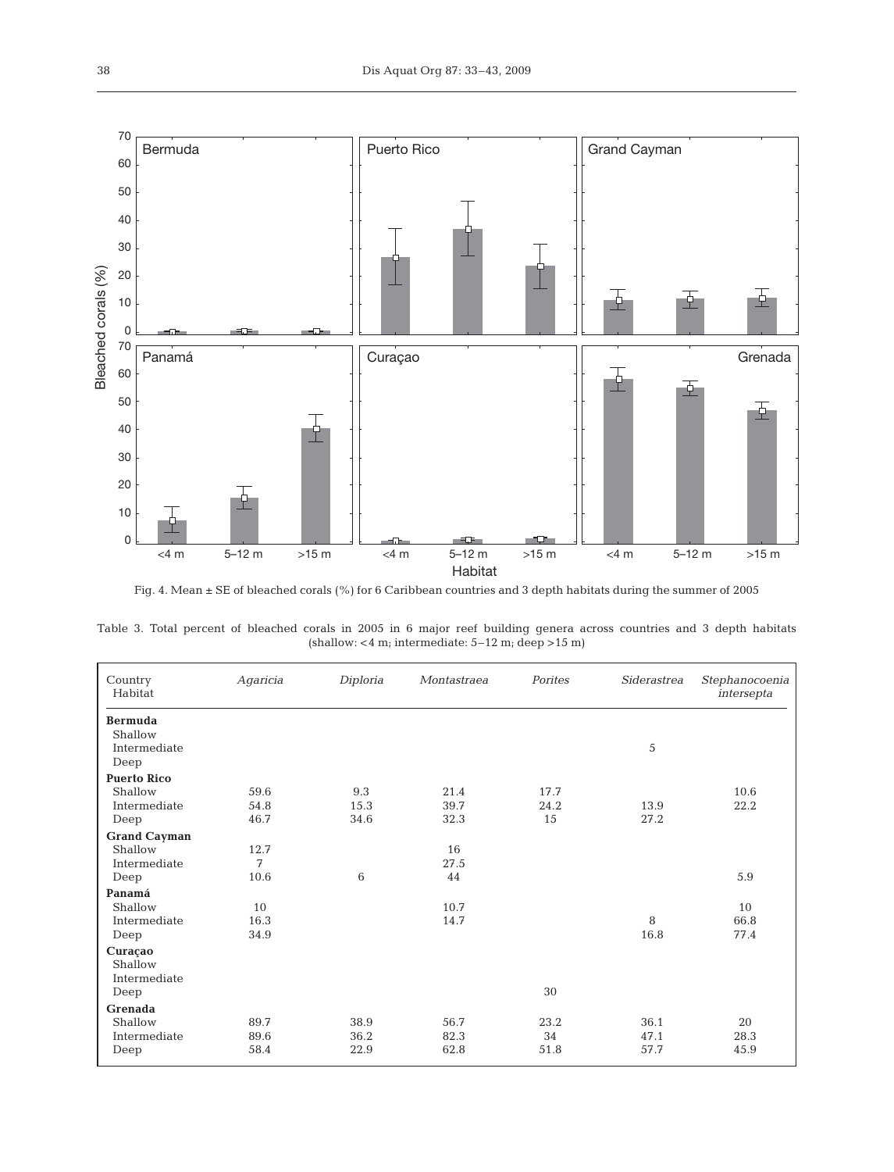

Fig. 4. Mean ± SE of bleached corals (%) for 6 Caribbean countries and 3 depth habitats during the summer of 2005

| Country<br>Habitat      | Agaricia | Diploria | Montastraea | Porites | Siderastrea | Stephanocoenia<br>intersepta |
|-------------------------|----------|----------|-------------|---------|-------------|------------------------------|
| <b>Bermuda</b>          |          |          |             |         |             |                              |
| Shallow<br>Intermediate |          |          |             |         |             |                              |
| Deep                    |          |          |             |         | 5           |                              |
| <b>Puerto Rico</b>      |          |          |             |         |             |                              |
| Shallow                 | 59.6     | 9.3      | 21.4        | 17.7    |             | 10.6                         |
| Intermediate            | 54.8     | 15.3     | 39.7        | 24.2    | 13.9        | 22.2                         |
| Deep                    | 46.7     | 34.6     | 32.3        | 15      | 27.2        |                              |
| <b>Grand Cayman</b>     |          |          |             |         |             |                              |
| Shallow                 | 12.7     |          | 16          |         |             |                              |
| Intermediate            | 7        |          | 27.5        |         |             |                              |
| Deep                    | 10.6     | 6        | 44          |         |             | 5.9                          |
| Panamá                  |          |          |             |         |             |                              |
| Shallow                 | 10       |          | 10.7        |         |             | 10                           |
| Intermediate            | 16.3     |          | 14.7        |         | 8           | 66.8                         |
| Deep                    | 34.9     |          |             |         | 16.8        | 77.4                         |
| Curaçao                 |          |          |             |         |             |                              |
| Shallow                 |          |          |             |         |             |                              |
| Intermediate            |          |          |             |         |             |                              |
| Deep                    |          |          |             | 30      |             |                              |
| <b>Grenada</b>          |          |          |             |         |             |                              |
| Shallow                 | 89.7     | 38.9     | 56.7        | 23.2    | 36.1        | 20                           |
| Intermediate            | 89.6     | 36.2     | 82.3        | 34      | 47.1        | 28.3                         |
| Deep                    | 58.4     | 22.9     | 62.8        | 51.8    | 57.7        | 45.9                         |

Table 3. Total percent of bleached corals in 2005 in 6 major reef building genera across countries and 3 depth habitats (shallow: <4 m; intermediate: 5–12 m; deep >15 m)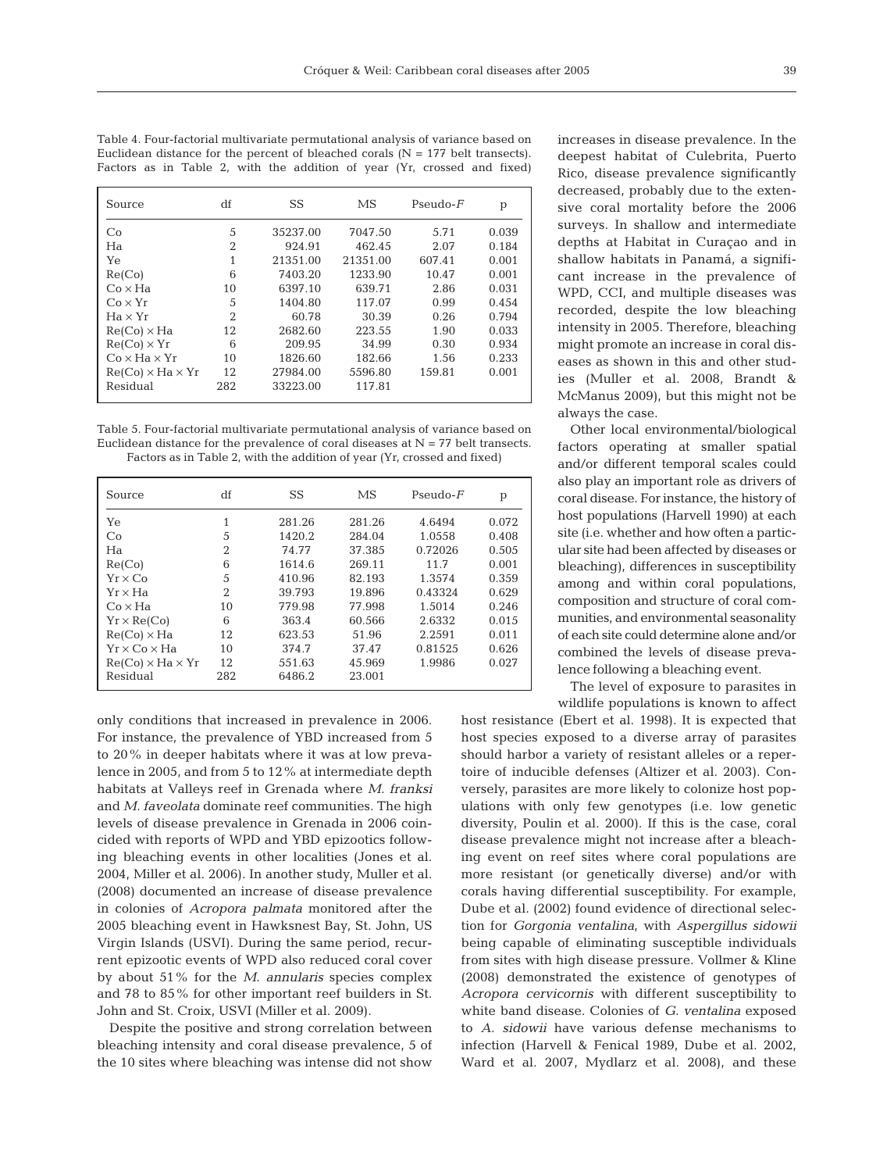| Source                       | df             | SS       | MS       | $Pseudo-F$ | p     |
|------------------------------|----------------|----------|----------|------------|-------|
| Co                           | 5              | 35237.00 | 7047.50  | 5.71       | 0.039 |
| Ha                           | 2              | 924.91   | 462.45   | 2.07       | 0.184 |
| Yе                           |                | 21351.00 | 21351.00 | 607.41     | 0.001 |
| Re(Co)                       | 6              | 7403.20  | 1233.90  | 10.47      | 0.001 |
| $Co \times Ha$               | 10             | 6397.10  | 639.71   | 2.86       | 0.031 |
| $Co \times Yr$               | 5              | 1404.80  | 117.07   | 0.99       | 0.454 |
| $Ha \times Yr$               | $\overline{2}$ | 60.78    | 30.39    | 0.26       | 0.794 |
| $Re(Co) \times Ha$           | 12             | 2682.60  | 223.55   | 1.90       | 0.033 |
| $Re(Co) \times Yr$           | 6              | 209.95   | 34.99    | 0.30       | 0.934 |
| $Co \times Ha \times Yr$     | 10             | 1826.60  | 182.66   | 1.56       | 0.233 |
| $Re(Co) \times Ha \times Yr$ | 12             | 27984.00 | 5596.80  | 159.81     | 0.001 |
| Residual                     | 282            | 33223.00 | 117.81   |            |       |

Table 4. Four-factorial multivariate permutational analysis of variance based on Euclidean distance for the percent of bleached corals  $(N = 177$  belt transects). Factors as in Table 2, with the addition of year (Yr, crossed and fixed)

Table 5. Four-factorial multivariate permutational analysis of variance based on Euclidean distance for the prevalence of coral diseases at  $N = 77$  belt transects. Factors as in Table 2, with the addition of year (Yr, crossed and fixed)

| Source                       | df             | SS     | MS     | $Pseudo-F$ | р     |
|------------------------------|----------------|--------|--------|------------|-------|
| Yе                           | 1              | 281.26 | 281.26 | 4.6494     | 0.072 |
| Co                           | 5              | 1420.2 | 284.04 | 1.0558     | 0.408 |
| Ha                           | $\overline{2}$ | 74.77  | 37.385 | 0.72026    | 0.505 |
| Re(Co)                       | 6              | 1614.6 | 269.11 | 11.7       | 0.001 |
| $Yr \times Co$               | 5              | 410.96 | 82.193 | 1.3574     | 0.359 |
| $Yr \times Ha$               | $\overline{2}$ | 39.793 | 19.896 | 0.43324    | 0.629 |
| $Co \times Ha$               | 10             | 779.98 | 77.998 | 1.5014     | 0.246 |
| $Yr \times Re(Co)$           | 6              | 363.4  | 60.566 | 2.6332     | 0.015 |
| $Re(Co) \times Ha$           | 12             | 623.53 | 51.96  | 2.2591     | 0.011 |
| $Yr \times Co \times Ha$     | 10             | 374.7  | 37.47  | 0.81525    | 0.626 |
| $Re(Co) \times Ha \times Yr$ | 12             | 551.63 | 45.969 | 1.9986     | 0.027 |
| Residual                     | 282            | 6486.2 | 23.001 |            |       |

only conditions that increased in prevalence in 2006. For instance, the prevalence of YBD increased from 5 to 20% in deeper habitats where it was at low prevalence in 2005, and from 5 to 12% at intermediate depth habitats at Valleys reef in Grenada where *M. franksi* and *M. faveolata* dominate reef communities. The high levels of disease prevalence in Grenada in 2006 coincided with reports of WPD and YBD epizootics following bleaching events in other localities (Jones et al. 2004, Miller et al. 2006). In another study, Muller et al. (2008) documented an increase of disease prevalence in colonies of *Acropora palmata* monitored after the 2005 bleaching event in Hawksnest Bay, St. John, US Virgin Islands (USVI). During the same period, recurrent epizootic events of WPD also reduced coral cover by about 51% for the *M. annularis* species complex and 78 to 85% for other important reef builders in St. John and St. Croix, USVI (Miller et al. 2009).

Despite the positive and strong correlation between bleaching intensity and coral disease prevalence, 5 of the 10 sites where bleaching was intense did not show increases in disease prevalence. In the deepest habitat of Culebrita, Puerto Rico, disease prevalence significantly decreased, probably due to the extensive coral mortality before the 2006 surveys. In shallow and intermediate depths at Habitat in Curaçao and in shallow habitats in Panamá, a significant increase in the prevalence of WPD, CCI, and multiple diseases was recorded, despite the low bleaching intensity in 2005. Therefore, bleaching might promote an increase in coral diseases as shown in this and other studies (Muller et al. 2008, Brandt & McManus 2009), but this might not be always the case.

Other local environmental/biological factors operating at smaller spatial and/or different temporal scales could also play an important role as drivers of coral disease. For instance, the history of host populations (Harvell 1990) at each site (i.e. whether and how often a particular site had been affected by diseases or bleaching), differences in susceptibility among and within coral populations, composition and structure of coral communities, and environmental seasonality of each site could determine alone and/or combined the levels of disease prevalence following a bleaching event.

The level of exposure to parasites in wildlife populations is known to affect

host resistance (Ebert et al. 1998). It is expected that host species exposed to a diverse array of parasites should harbor a variety of resistant alleles or a repertoire of inducible defenses (Altizer et al. 2003). Conversely, parasites are more likely to colonize host populations with only few genotypes (i.e. low genetic diversity, Poulin et al. 2000). If this is the case, coral disease prevalence might not increase after a bleaching event on reef sites where coral populations are more resistant (or genetically diverse) and/or with corals having differential susceptibility. For example, Dube et al. (2002) found evidence of directional selection for *Gorgonia ventalina*, with *Aspergillus sidowii* being capable of eliminating susceptible individuals from sites with high disease pressure. Vollmer & Kline (2008) demonstrated the existence of genotypes of *Acropora cervicornis* with different susceptibility to white band disease. Colonies of *G. ventalina* exposed to *A. sidowii* have various defense mechanisms to infection (Harvell & Fenical 1989, Dube et al. 2002, Ward et al. 2007, Mydlarz et al. 2008), and these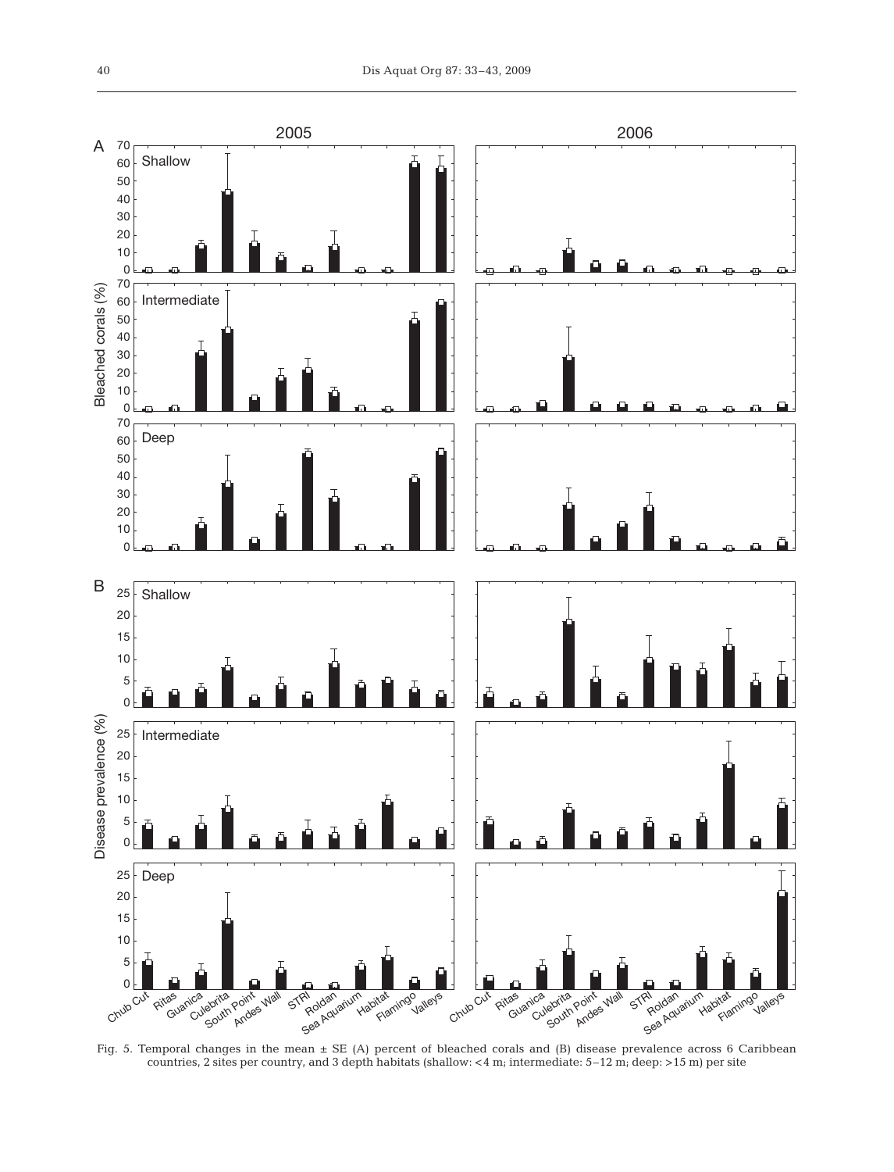

Fig. 5. Temporal changes in the mean ± SE (A) percent of bleached corals and (B) disease prevalence across 6 Caribbean countries, 2 sites per country, and 3 depth habitats (shallow:  $<$  4 m; intermediate: 5–12 m; deep: >15 m) per site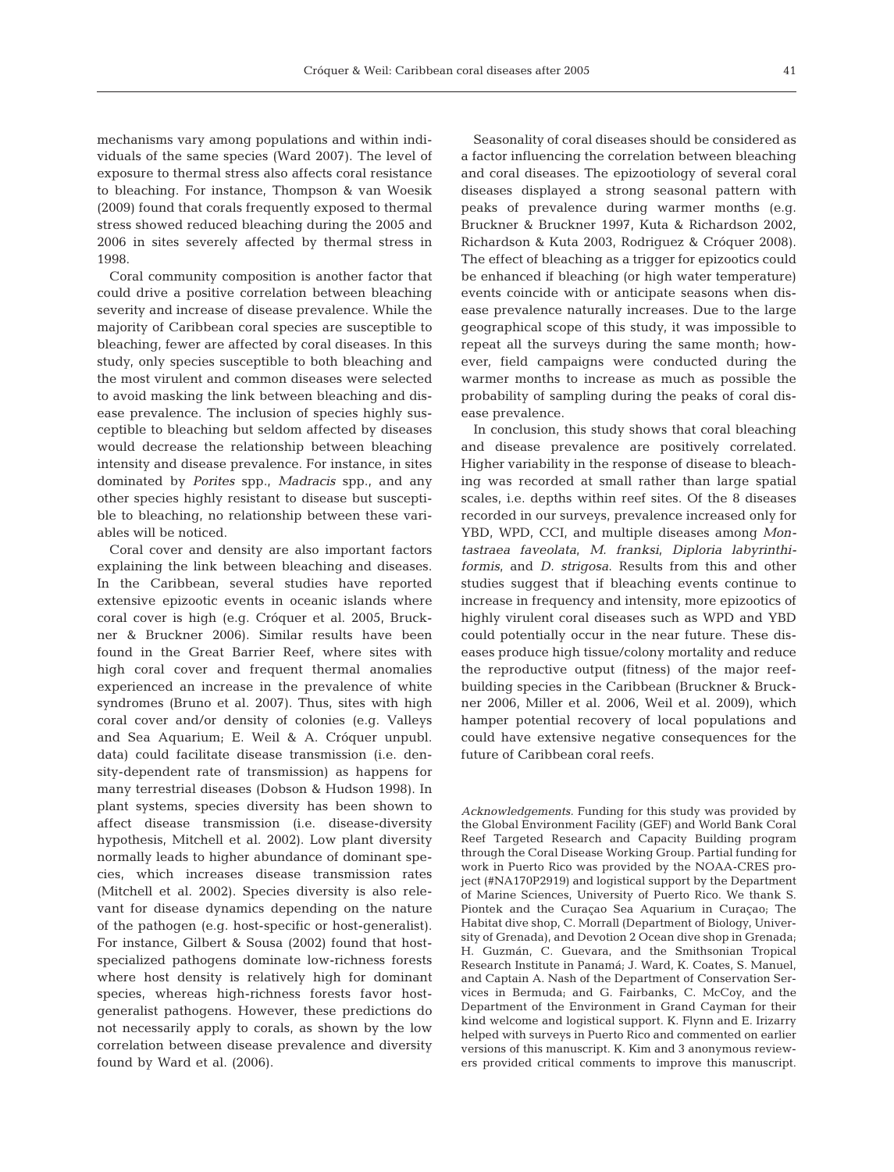mechanisms vary among populations and within individuals of the same species (Ward 2007). The level of exposure to thermal stress also affects coral resistance to bleaching. For instance, Thompson & van Woesik (2009) found that corals frequently exposed to thermal stress showed reduced bleaching during the 2005 and 2006 in sites severely affected by thermal stress in 1998.

Coral community composition is another factor that could drive a positive correlation between bleaching severity and increase of disease prevalence. While the majority of Caribbean coral species are susceptible to bleaching, fewer are affected by coral diseases. In this study, only species susceptible to both bleaching and the most virulent and common diseases were selected to avoid masking the link between bleaching and disease prevalence. The inclusion of species highly susceptible to bleaching but seldom affected by diseases would decrease the relationship between bleaching intensity and disease prevalence. For instance, in sites dominated by *Porites* spp., *Madracis* spp., and any other species highly resistant to disease but susceptible to bleaching, no relationship between these variables will be noticed.

Coral cover and density are also important factors explaining the link between bleaching and diseases. In the Caribbean, several studies have reported extensive epizootic events in oceanic islands where coral cover is high (e.g. Cróquer et al. 2005, Bruckner & Bruckner 2006). Similar results have been found in the Great Barrier Reef, where sites with high coral cover and frequent thermal anomalies experienced an increase in the prevalence of white syndromes (Bruno et al. 2007). Thus, sites with high coral cover and/or density of colonies (e.g. Valleys and Sea Aquarium; E. Weil & A. Cróquer unpubl. data) could facilitate disease transmission (i.e. density-dependent rate of transmission) as happens for many terrestrial diseases (Dobson & Hudson 1998). In plant systems, species diversity has been shown to affect disease transmission (i.e. disease-diversity hypothesis, Mitchell et al. 2002). Low plant diversity normally leads to higher abundance of dominant species, which increases disease transmission rates (Mitchell et al. 2002). Species diversity is also relevant for disease dynamics depending on the nature of the pathogen (e.g. host-specific or host-generalist). For instance, Gilbert & Sousa (2002) found that hostspecialized pathogens dominate low-richness forests where host density is relatively high for dominant species, whereas high-richness forests favor hostgeneralist pathogens. However, these predictions do not necessarily apply to corals, as shown by the low correlation between disease prevalence and diversity found by Ward et al. (2006).

Seasonality of coral diseases should be considered as a factor influencing the correlation between bleaching and coral diseases. The epizootiology of several coral diseases displayed a strong seasonal pattern with peaks of prevalence during warmer months (e.g. Bruckner & Bruckner 1997, Kuta & Richardson 2002, Richardson & Kuta 2003, Rodriguez & Cróquer 2008). The effect of bleaching as a trigger for epizootics could be enhanced if bleaching (or high water temperature) events coincide with or anticipate seasons when disease prevalence naturally increases. Due to the large geographical scope of this study, it was impossible to repeat all the surveys during the same month; however, field campaigns were conducted during the warmer months to increase as much as possible the probability of sampling during the peaks of coral disease prevalence.

In conclusion, this study shows that coral bleaching and disease prevalence are positively correlated. Higher variability in the response of disease to bleaching was recorded at small rather than large spatial scales, i.e. depths within reef sites. Of the 8 diseases recorded in our surveys, prevalence increased only for YBD, WPD, CCI, and multiple diseases among *Montastraea faveolata*, *M. franksi*, *Diploria labyrinthiformis*, and *D. strigosa*. Results from this and other studies suggest that if bleaching events continue to increase in frequency and intensity, more epizootics of highly virulent coral diseases such as WPD and YBD could potentially occur in the near future. These diseases produce high tissue/colony mortality and reduce the reproductive output (fitness) of the major reefbuilding species in the Caribbean (Bruckner & Bruckner 2006, Miller et al. 2006, Weil et al. 2009), which hamper potential recovery of local populations and could have extensive negative consequences for the future of Caribbean coral reefs.

*Acknowledgements.* Funding for this study was provided by the Global Environment Facility (GEF) and World Bank Coral Reef Targeted Research and Capacity Building program through the Coral Disease Working Group. Partial funding for work in Puerto Rico was provided by the NOAA-CRES project (#NA170P2919) and logistical support by the Department of Marine Sciences, University of Puerto Rico. We thank S. Piontek and the Curaçao Sea Aquarium in Curaçao; The Habitat dive shop, C. Morrall (Department of Biology, University of Grenada), and Devotion 2 Ocean dive shop in Grenada; H. Guzmán, C. Guevara, and the Smithsonian Tropical Research Institute in Panamá; J. Ward, K. Coates, S. Manuel, and Captain A. Nash of the Department of Conservation Services in Bermuda; and G. Fairbanks, C. McCoy, and the Department of the Environment in Grand Cayman for their kind welcome and logistical support. K. Flynn and E. Irizarry helped with surveys in Puerto Rico and commented on earlier versions of this manuscript. K. Kim and 3 anonymous reviewers provided critical comments to improve this manuscript.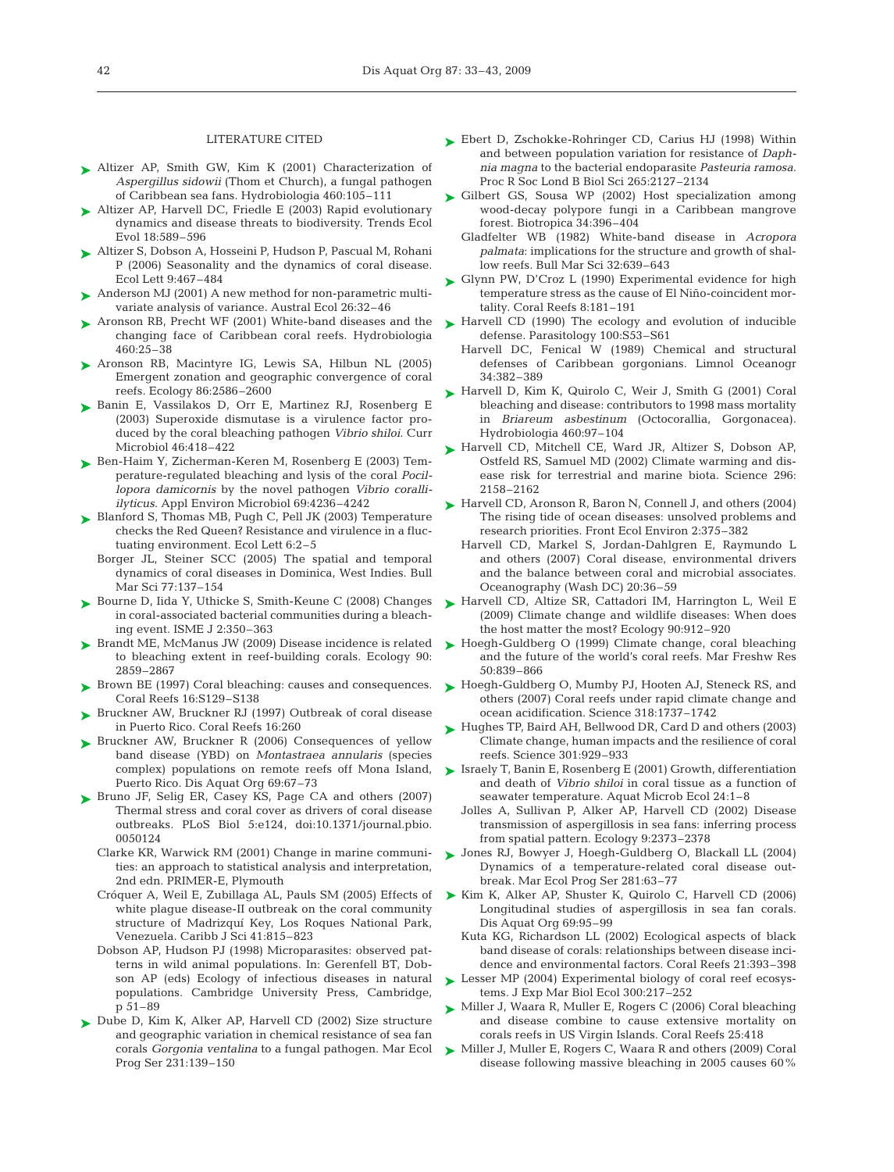#### LITERATURE CITED

- Altizer AP, Smith GW, Kim K (2001) Characterization of *Aspergillus sidowii* (Thom et Church), a fungal pathogen of Caribbean sea fans. Hydrobiologia 460:105–111
- ► Altizer AP, Harvell DC, Friedle E (2003) Rapid evolutionary dynamics and disease threats to biodiversity. Trends Ecol Evol 18:589–596
- ► Altizer S, Dobson A, Hosseini P, Hudson P, Pascual M, Rohani P (2006) Seasonality and the dynamics of coral disease. Ecol Lett 9:467–484
- ▶ Anderson MJ (2001) A new method for non-parametric multivariate analysis of variance. Austral Ecol 26:32–46
- ▶ Aronson RB, Precht WF (2001) White-band diseases and the changing face of Caribbean coral reefs. Hydrobiologia 460:25–38
- ▶ Aronson RB, Macintyre IG, Lewis SA, Hilbun NL (2005) Emergent zonation and geographic convergence of coral reefs. Ecology 86:2586–2600
- ▶ Banin E, Vassilakos D, Orr E, Martinez RJ, Rosenberg E (2003) Superoxide dismutase is a virulence factor produced by the coral bleaching pathogen *Vibrio shiloi.* Curr Microbiol 46:418–422
- ► Ben-Haim Y, Zicherman-Keren M, Rosenberg E (2003) Temperature-regulated bleaching and lysis of the coral *Pocillopora damicornis* by the novel pathogen *Vibrio coralliilyticus.* Appl Environ Microbiol 69:4236–4242
- ► Blanford S, Thomas MB, Pugh C, Pell JK (2003) Temperature checks the Red Queen? Resistance and virulence in a fluctuating environment. Ecol Lett 6:2–5
	- Borger JL, Steiner SCC (2005) The spatial and temporal dynamics of coral diseases in Dominica, West Indies. Bull Mar Sci 77:137–154
- ► Bourne D, Iida Y, Uthicke S, Smith-Keune C (2008) Changes in coral-associated bacterial communities during a bleaching event. ISME J 2:350–363
- ► Brandt ME, McManus JW (2009) Disease incidence is related to bleaching extent in reef-building corals. Ecology 90: 2859–2867
- ► Brown BE (1997) Coral bleaching: causes and consequences. Coral Reefs 16:S129–S138
- ▶ Bruckner AW, Bruckner RJ (1997) Outbreak of coral disease in Puerto Rico. Coral Reefs 16:260
- ▶ Bruckner AW, Bruckner R (2006) Consequences of yellow band disease (YBD) on *Montastraea annularis* (species complex) populations on remote reefs off Mona Island, Puerto Rico. Dis Aquat Org 69:67–73
- ▶ Bruno JF, Selig ER, Casey KS, Page CA and others (2007) Thermal stress and coral cover as drivers of coral disease outbreaks. PLoS Biol 5:e124, doi:10.1371/journal.pbio. 0050124
	- Clarke KR, Warwick RM (2001) Change in marine communities: an approach to statistical analysis and interpretation, 2nd edn. PRIMER-E, Plymouth
	- Cróquer A, Weil E, Zubillaga AL, Pauls SM (2005) Effects of white plague disease-II outbreak on the coral community structure of Madrizquí Key, Los Roques National Park, Venezuela. Caribb J Sci 41:815–823
	- Dobson AP, Hudson PJ (1998) Microparasites: observed patterns in wild animal populations. In: Gerenfell BT, Dobson AP (eds) Ecology of infectious diseases in natural populations. Cambridge University Press, Cambridge, p 51–89
- ► Dube D, Kim K, Alker AP, Harvell CD (2002) Size structure and geographic variation in chemical resistance of sea fan corals *Gorgonia ventalina* to a fungal pathogen. Mar Ecol Prog Ser 231:139–150
- ► Ebert D, Zschokke-Rohringer CD, Carius HJ (1998) Within and between population variation for resistance of *Daphnia magna* to the bacterial endoparasite *Pasteuria ramosa.* Proc R Soc Lond B Biol Sci 265:2127–2134
- ► Gilbert GS, Sousa WP (2002) Host specialization among wood-decay polypore fungi in a Caribbean mangrove forest. Biotropica 34:396–404
	- Gladfelter WB (1982) White-band disease in *Acropora palmata*: implications for the structure and growth of shallow reefs. Bull Mar Sci 32:639–643
- ► Glynn PW, D'Croz L (1990) Experimental evidence for high temperature stress as the cause of El Niño-coincident mortality. Coral Reefs 8:181–191
- ► Harvell CD (1990) The ecology and evolution of inducible defense. Parasitology 100:S53–S61
	- Harvell DC, Fenical W (1989) Chemical and structural defenses of Caribbean gorgonians. Limnol Oceanogr 34:382–389
- ► Harvell D, Kim K, Quirolo C, Weir J, Smith G (2001) Coral bleaching and disease: contributors to 1998 mass mortality in *Briareum asbestinum* (Octocorallia, Gorgonacea). Hydrobiologia 460:97–104
- ► Harvell CD, Mitchell CE, Ward JR, Altizer S, Dobson AP, Ostfeld RS, Samuel MD (2002) Climate warming and disease risk for terrestrial and marine biota. Science 296: 2158–2162
- ► Harvell CD, Aronson R, Baron N, Connell J, and others (2004) The rising tide of ocean diseases: unsolved problems and research priorities. Front Ecol Environ 2:375–382
	- Harvell CD, Markel S, Jordan-Dahlgren E, Raymundo L and others (2007) Coral disease, environmental drivers and the balance between coral and microbial associates. Oceanography (Wash DC) 20:36–59
- ▶ Harvell CD, Altize SR, Cattadori IM, Harrington L, Weil E (2009) Climate change and wildlife diseases: When does the host matter the most? Ecology 90:912–920
- ► Hoegh-Guldberg O (1999) Climate change, coral bleaching and the future of the world's coral reefs. Mar Freshw Res 50:839–866
- ► Hoegh-Guldberg O, Mumby PJ, Hooten AJ, Steneck RS, and others (2007) Coral reefs under rapid climate change and ocean acidification. Science 318:1737–1742
- ► Hughes TP, Baird AH, Bellwood DR, Card D and others (2003) Climate change, human impacts and the resilience of coral reefs. Science 301:929–933
- ► Israely T, Banin E, Rosenberg E (2001) Growth, differentiation and death of *Vibrio shiloi* in coral tissue as a function of seawater temperature. Aquat Microb Ecol 24:1–8
	- Jolles A, Sullivan P, Alker AP, Harvell CD (2002) Disease transmission of aspergillosis in sea fans: inferring process from spatial pattern. Ecology 9:2373–2378
- Jones RJ, Bowyer J, Hoegh-Guldberg O, Blackall LL (2004) ➤ Dynamics of a temperature-related coral disease outbreak. Mar Ecol Prog Ser 281:63–77
- ▶ Kim K, Alker AP, Shuster K, Quirolo C, Harvell CD (2006) Longitudinal studies of aspergillosis in sea fan corals. Dis Aquat Org 69:95–99
	- Kuta KG, Richardson LL (2002) Ecological aspects of black band disease of corals: relationships between disease incidence and environmental factors. Coral Reefs 21:393–398
- ► Lesser MP (2004) Experimental biology of coral reef ecosystems. J Exp Mar Biol Ecol 300:217–252
- ► Miller J, Waara R, Muller E, Rogers C (2006) Coral bleaching and disease combine to cause extensive mortality on corals reefs in US Virgin Islands. Coral Reefs 25:418
- ► Miller J, Muller E, Rogers C, Waara R and others (2009) Coral disease following massive bleaching in 2005 causes 60%